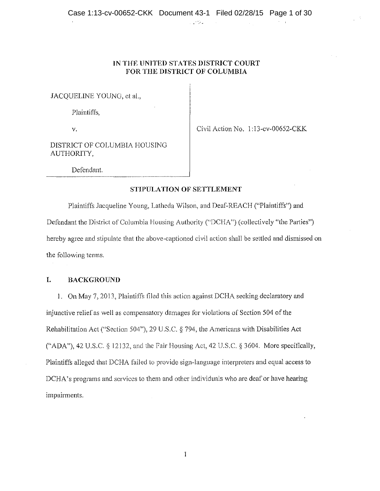,·','·

## IN THE UNITED STATES DISTRICT COURT **FOR THE DISTRICT OF COLUMBIA**

JACOUELINE YOUNG, et al.,

Plaintiffs,

v.

Civil Action No. 1:13-cv-00652-CKK

DISTRICT OF COLUMBIA HOUSING AUTHORITY,

Defendant.

#### **STIPULATION OF SETTLEMENT**

Plaintiffs Jacqueline Young, Latheda Wilson, and Dcaf~REACH ("Plaintiffs") and Defendant the District of Columbia Housing Authority ("DCHA") (collectively "the Parties") hereby agree and stipulate that the above-captioned civil action shall be settled and dismissed on the following terms.

## **I. BACKGROUND**

1. On May 7, 2013, Plaintiffs illed this action against DCHA seeking declaratory and injunctive relief as well as compensatory damages for violations of Section 504 of the Rehabilitation Act ("Section 504"), 29 U.S.C. *§* 794, the Americans with Disabilities Act ("ADA"), 42 U.S.C. § 12132, and the fair Housing Act, 42 U.S.C. § 3604. More specifically, Plaintiffs alleged that DCHA failed to provide sign-language interpreters and equal access to DCHA's programs and services to them and other individuals who are deaf or have hearing impairments.

 $\mathbf i$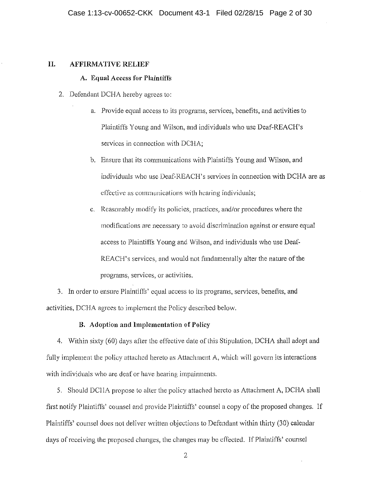## **II. AFFIRMATIVE RELIEF**

## **A. Equal Access for Pfaintifls**

- 2. Defendant DCHA hereby agrees to:
	- a. Provide equal access to its programs, services, benefits, and activities to Plaintiffs Young and Wilson, and individuals who use Deaf-REACH's services in connection with DCHA;
	- b. Ensure that its communications with. Plaintiffs Young and Wilson, and individuals who use Deaf-REACH's services in connection with DCHA are as effective as communications with hearing individuals;
	- c. Reasonably modify its policies, practices, and/or procedures where the modifications are necessary to avoid discrimination against or ensure equal access to Plaintiffs Young and Wilson, and individuals who use Deaf-REACH's services, and would not fundamentally alter the nature of the programs, services, or activities.

3. In order to ensure Plaintiffs' equal access to its programs, services, benefits, and activities, DCHA agrees to implement the Policy described below.

#### **B. Adoption and hnplcmcntation of Policy**

4. Within sixty (60) days after the effoctivc date of this Stipulation, DCHA shall adopt and fully implement the policy attached hereto as Attachment A, which will govern its interactions with individuals who are deaf or have hearing impairments.

5. Should DCHA propose to alter the policy attached hereto as Attachment A, DCHA shall first notify Plaintiffs' counsel and provide Plaintiffs' counsel a copy of the proposed changes. If Plaintiffs' counsel does not deliver written objections to Defendant within thirty (30) calendar days of receiving the proposed changes, the changes may be effected. If Plaintiffs' counsel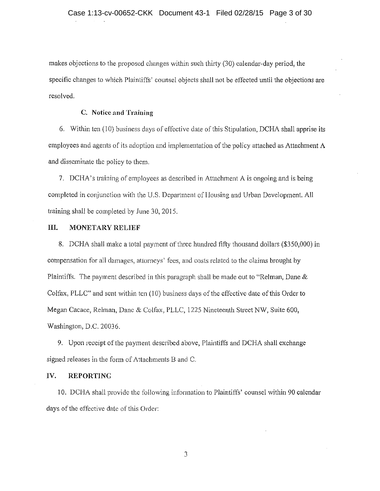makes objections to the proposed changes within such thirty (30) calendar-day period, the specific changes to which Plaintiffs' counsel objects shall not be effected until the objections are resolved.

#### **C. Notice nnd Training**

6. Within ten (10) business days of effective date of this Stipulation, DCHA shall apprise its employees and agents of its adoption and implementation of the policy attached as Attachment A and disseminate the policy to them.

7. DCHA 'straining of employees as described in Attachment A is ongoing and is being completed in conjunction with the U.S. Department of Housing and Urban Development. All training shall be completed by June 30, 2015.

## **III. MONETARY RELIEF**

8. DCHA shall make a total payment of three hundred fifty thousand dollars (\$350,000) in compensation for all damages, atlorncys' fees, and costs related to the claims brought by Plaintiffs. The payment described in this paragraph shall be made out to "Relman, Dane & Colfax, PLLC" and sent within ten (10) business days of the effective date of this Order to Megan Cacace, Reiman, Dane & Colfax, PLLC, 1225 Nineteenth Street NW, Suite 600, Washington, D.C. 20036.

9. Upon receipt of the payment described above, Plaintiffs and DCHA shall exchange signed releases in the form of Attachments B and C.

#### **IV. REPORTING**

10. DCHA shall provide the following information to Plaintiffs' counsel within 90 calendar days of the effective date of this Order: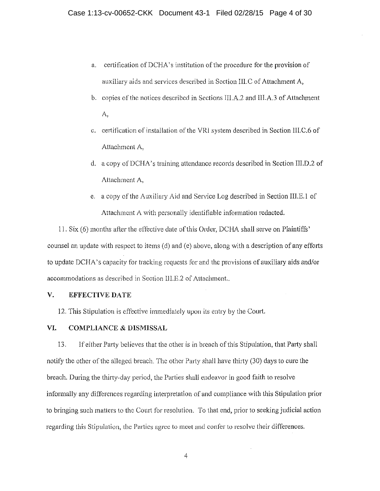- a. certification of DCHA' s institution of the procedure for the provision of auxiliary aids and services described in Section lll.C of Attachment A,
- b. copies of the notices described in Sections lll.A.2 and Ill.A.3 of Attachment A,
- c. certification of installation of the VRJ system described in Section Ill.C.6 of Attachment A,
- d. a copy of DCHA's training attendance records described in Section IIl.D.2 of Attachment A,
- c. a copy of the Auxiliary Aid and Service Log described in Section Ill.E. J of Attachment A with personally identifiable information redacted.

11. Six  $(6)$  months after the effective date of this Order, DCHA shall serve on Plaintiffs' counsel an update with respect to items (d) and (e) above, along with a description of any efforts to update DCHA's capacity for tracking requests for and the provisions of auxiliary aids and/or accommodations as described in Section III.E.2 of Attachment..

#### **V. EFFECTIVE DATE**

12. This Stipulation is effective immediately upon its entry by the Court.

### **VI. COMPLIANCE & DISMISSAL**

13. If either Party believes that the other is in breach of this Stipulation, that Party shall notify the other of the alleged breach. The other Party shall have thirty (30) days to cure the breach. During the thirty-day period, the Parties shall endeavor in good faith to resolve informally any differences regarding interpretation of and cornpliance with this Stipulation prior to bringing such matters to the Court for resolution. To that end, prior to seeking judicial action regarding this Stipulation, the Parties agree to meet and confer lo resolve their differences.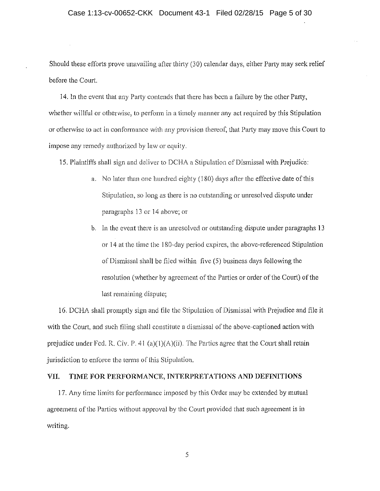Should these efforts prove unavailing after thirty (30) calendar days, either Party may seek relief before the Court

14. In the event that any Party contends that there has been a failure by the other Party, whether willful or otherwise, to perform in a timely manner any act required by this Stipulation or otherwise to act in conformance with any provision thereof, that Party may move this Court to impose any remedy authorized by law or equity.

15. Plaintiffs shall sign and deliver to DCHA a Stipulation of Dismissal with Prejudice:

- a. No later than one hundred eighty  $(180)$  days after the effective date of this Stipulation, so long as there is no outstanding or unresolved dispute under paragraphs 13 or 14 above; or
- b. In the event there is an unresolved or outstanding dispute under paragraphs 13 or 14 at the time the 180-day period expires, the above-referenced Stipulation of Dismissal shall be filed within five (5) business days following the resolution (whether by agreement of the Parties or order of the Court) of the last remaining dispute;

16. DCHA shall promptly sign and file the Stipulation of Dismissal with Prejudice and file it with the Court, and such filing shall constitute a dismissal of the above-captioned action with prejudice under Fed. R. Civ. P. 41 (a)(1)(A)(ii). The Parties agree that the Court shall retain jurisdiction to enforce the terms of this Stipulation.

## **VII. TIME FOR PERFORMANCE, INTERPRETATIONS AND DEFINITIONS**

17. Any time limits for performance imposed by this Order may be extended by mutual agreement of the Parties without approval by the Court provided that such agreement is in writing.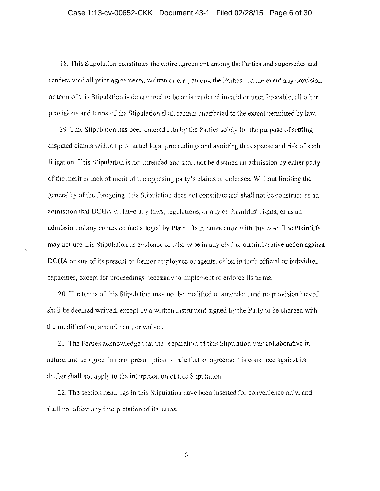## Case 1:13-cv-00652-CKK Document 43-1 Filed 02/28/15 Page 6 of 30

18. This Stipulation constitutes the entire agreement among the Parties and supersedes and renders void all prior agreements, written or oral, among the Parties. In the event any provision or term of this Stipulation is determined to be or is rendered invalid or unenforceable, all other provisions and terms of the Stipulation shall remain unaffected to the extent permitted by law.

19. This Stipulation has been entered into by the Parties solely for the purpose of settling disputed claims without protracted legal proceedings and avoiding the expense and risk of such litigation. This Stipulation is not intended and shall not be deemed an admission by either party of the merit or lack of merit of the opposing party's claims or defenses. Without limiting the generality of the foregoing, this Stipulation does not constitute and shall not be construed as an admission that DCHA violated any laws, regulations, or any of Plaintiffs' rights, or as an admission of any contested fact alleged by Plaintiffs in connection with this case. The Plaintiffs may not use this Stipulation as evidence or otherwise in any civil or administrative action against DCHA or any of its present or former employees or agents, either in their official or individual capacities, except for proceedings necessary to implement or enforce its terms.

20. The terms of this Stipulation may not be modified or amended, and no provision hereof shall be deemed waived, except by a written instrument signed by the Party to be charged with the modification, amendment, or waiver.

21. The Parties acknowledge that the preparation of this Stipulation was collaborative in nature, and so agree that any presumption or rule that an agreement is construed against its drafter shall not apply to the interpretation of this Stipulation.

22. The section headings in this Stipulation have been inserted for convenience only, and shall not affoct any interpretation of its terms.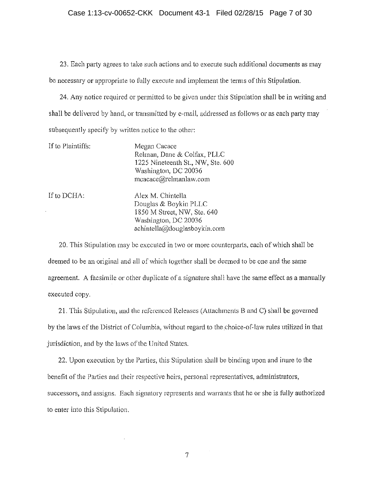## Case 1:13-cv-00652-CKK Document 43-1 Filed 02/28/15 Page 7 of 30

23. Each party agrees to take such actions and to execute such additional documents as may be necessary or appropriate to fully execute and implement the terms of this Stipulation.

24. Any notice required or permitted to be given under this Stipulation shall be in writing and shall be delivered by hand, or transmitted by e-mail, addressed as follows or as each party may subsequently specify by written notice to the other:

| If to Plaintiffs: | Megan Cacace<br>Relman, Dane & Colfax, PLLC<br>1225 Nineteenth St., NW, Ste. 600<br>Washington, DC 20036<br>mcacace@relmanlaw.com |
|-------------------|-----------------------------------------------------------------------------------------------------------------------------------|
| If to DCHA:       | Alex M. Chintella<br>Douglas & Boykin PLLC<br>1850 M Street, NW, Ste. 640<br>Washington, DC 20036<br>achintella@douglasboykin.com |

20. This Stipulation may be executed in two or more counterparts, each of which shall be deemed to be an original and all of which together shall be deemed to be one and the same agreement. A facsimile or other duplicate of a signature shall have the same effect as a manually executed copy.

21. This Stipulation, and the referenced Releases (Attachments B and C) shall be governed by the laws of the District of Columbia, without regard to the choice-of-law rules utilized in that jurisdiction, and by the laws of the United States.

22. Upon execution by the Parties, this Stipulation shall be binding upon and inure to the benefit of the Parties and their respective heirs, personal representatives, administrators, successors, and assigns. Each signatory represents and warrants that he or she is fully authorized to enter into this Stipulation.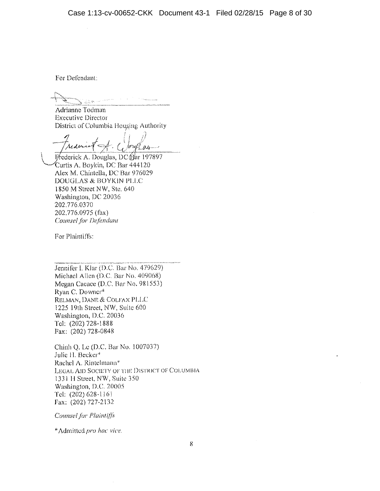For Defendant:

Adrianne Todman Executive Director

District of Columbia Housing Authority<br>*Audio 1 - Corgles*  $i \rightarrow \infty$ 

Frederick A. Douglas, DC (Par 197897. Curtis A. Boykin, DC Bar 444120 Alex M. Chintella, DC Bar 976029 DOUGLAS & BOYKIN PLLC 1850 M Street NW, Ste. 640 Washington, DC 20036 202.776 0370 202,776.0975 (fax) Counsel for Defendant

For Plaintiffs:

Jennifer I. Klar (D.C. Bar No. 479629) Michael Allen (D.C. Bar No.  $409068$ ) Megan Cacace (D,C. Bar No, 981553) Ryan C. Downer\* RELMAN, DANE & COLFAX PLLC 1225 19th Street, NW, Suite 600 Washington, D.C. 20036 Tel: (202) 728-1888 Fax: (202) 728-0848

Chinh Q, Le (D.C. Bar No. 1007037) Julie H. Becker\* Rachel A. Rintelmann\* LEGAL AID SOCIETY OF THE DISTRICT OF COLUMBIA 133111 Street, NW, Suite 350 Washington, D.C. 20005 Tel: (202) 628-116 i Fax: (202) 727-2132

*Counsel for Plaintiffs* 

\*Admitted *pro /iac vice.*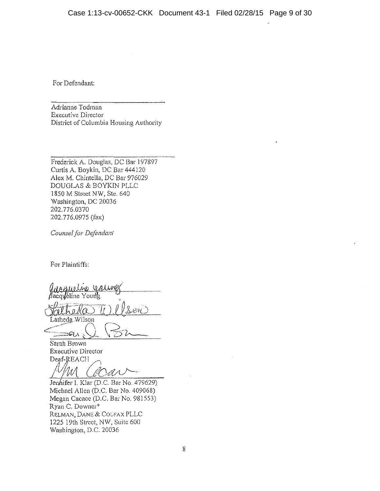For Defendant:

Adrianne Todman Executive Director District of Columbia Housing Authority

Frederick A. Douglas, DC Bar 197897 Curtis A. Boykin, DC Bar 444120 Alex M. Chintclla, DC Bar 976029 DOUGLAS & BOYKIN PLLC 1850 M Street NW, Ste. 640 Washington, DC 20036 202. 776.0370 202.776.0975 (fax)

*Counsel for Defendant* 

For Plaintiffs:

or minimo.<br>accession is alway <u>Catheda Ti) *l* ls</u> en Latheda Wilson<br>  $\bigcap$ :~:::::;Gt.A , - \ *t...>* z,.,\_\_\_\_\_

Sarah Brown Executive Director Deaf-REACH

<u>/ *WI*</u> (*COA*) <br>Jenhifer I. Klar (D.C. Bar No. 479629)

Michael Allen (D.C. Bar No. 409068) Megan Cacace (D.C. Bar No. 981553) Ryan C. Downer\* RELMAN, DANE & COLFAX PLLC 1225 19th Street, NW, Suite 600 Washington, D.C. 20036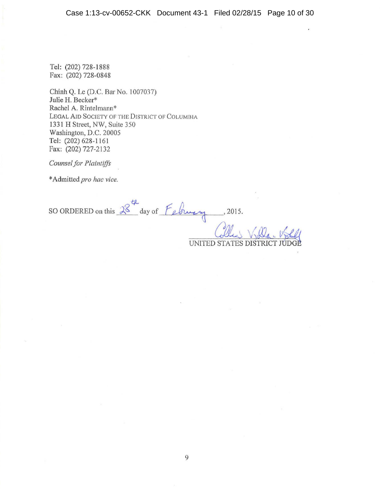Tel: (202) 728-1888 Fax: (202) 728-0848

Chinh Q. Le (D.C. Bar No. 1007037) Julie H. Becker\* Rachel A. Rintelmann\* LEGAL AID SOCIETY OF THE DISTRICT OF COLUMBIA 1331 H Street, NW, Suite 350 Washington, D.C. 20005 Tel: (202) 628-1161 fax: (202) 727-2132

*Counsel for Plaintiffs* 

\*Admitted *pro hac vice.* 

*f:1...*  SO ORDERED on this  $8^{\circ}$  day of *[eliminy* 

UNITED STATES DISTRIC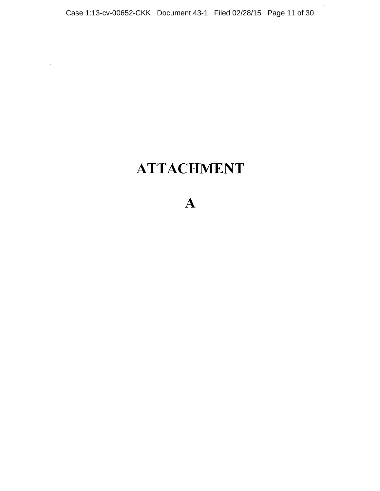$\bar{z}$ 

 $\sim$ 

 $\sim 10^7$ 

 $\bar{z}$ 

 $\mathcal{L}_{\mathcal{A}}$ 

 $\alpha$ 

# ATTACHMENT

A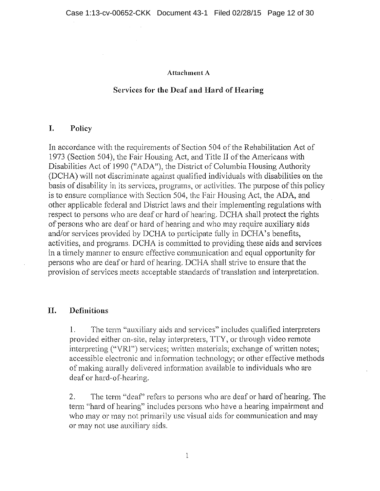## **Attachment A**

# **Services for the Deaf and Hard of Hearing**

## **I. Policy**

In accordance with the requirements of Section 504 of the Rehabilitation Act of 1973 (Section 504), the Fair Housing Act, and Title II of the Americans with Disabilities Act of 1990 ("ADA"), the District of Columbia Housing Authority (DCHA) will not discrirninate against qualified individuals with disabilities on the basis of disability in its services, programs, or activities. The purpose of this policy is to ensure compliance with Section 504, the Fair Housing Act, the ADA, and other applicable federal and District laws and their implementing regulations with respect to persons who are deaf or hard of hearing. DCHA shall protect the rights of persons who are deaf or hard of hearing and who may require auxiliary aids and/or services provided by DCHA to participate fully in DCHA's benefits, activities, and programs. DCHA is committed to providing these aids and services in a timely manner to ensure effective communication and equal opportunity for persons who are deaf or hard of hearing. DCHA shall strive to ensure that the provision of services meets acceptable standards of translation and interpretation.

## **II. Definitions**

l. The term "auxiliary aids and services" includes qualified interpreters provided either on-site, relay interpreters, TTY, or through video remote interpreting ("VRl") services; written materials; exchange of written notes; accessible electronic and information technology; or other effective methods of making aurally delivered information available to individuals who are deaf or hard-of-hearing.

2. The term "deaf" refers to persons who are deaf or hard of hearing. The term "hard of hearing" includes persons who have a hearing impairment and who may or may not primarily use visual aids for communication and may or may not use auxiliary aids.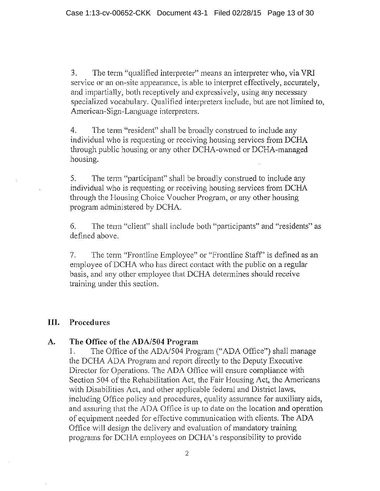3. The term "qualified interpreter" means an interpreter who, via VRI service or an on-site appearance, is able to interpret effectively, accurately, and impartially, both receptively and expressively, using any necessary specialized vocabulary. Qualified interpreters include, but are not limited to, American-Sign-Language interpreters.

4. The term "resident" shall be broadly construed to include any individual who is requesting or receiving housing services from DCHA through public housing or any other DCHA-owned or OCHA-managed housing.

5. The term "participant" shall be broadly construed to include any individual who is requesting or receiving housing services from DCHA through the Housing Choice Voucher Program, or any other housing program administered by DCHA.

6. The term "client" shall include both "participants" and "residents" as defined above.

7. The term "Frontline Employee" or "Frontline Staff' is defined as an employee of DCHA who has direct contact with the public on a regular basis, and any other employee that DCHA determines should receive training under this section.

# **III. Procedures**

## **A. The Office of the ADA/504 Program**

1. The Office of the ADA/504 Program ("ADA Office") shall manage the DCHA ADA Program and report directly to the Deputy Executive Director for Operations. The ADA Office will ensure compliance with Section 504 of the Rehabilitation Act, the Fair Housing Act, the Americans with Disabilities Act, and other applicable federal and District laws, including Office policy and procedures, quality assurance for auxiliary aids, and assuring that the ADA Office is up to date on the location and operation of equipment needed for effective communication with clients. The ADA Office will design the delivery and evaluation of mandatory training programs for DCIIA employees on DCHA's responsibility to provide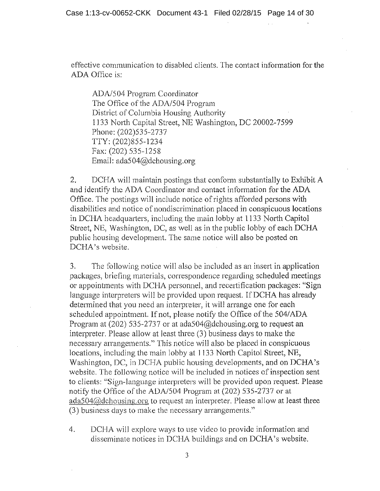effective communication to disabled clients. The contact information for the ADA Office is:

ADA/504 Program Coordinator The Office of the ADA/504 Program District of Columbia Housing Authority 1133 North Capital Street, NE Washington, DC 20002-7599 Phone: (202)535-2737 TfY: (202)855-1234 Fax: (202) 535-1258 Email: ada504@dchousing.org

2. DCHA will maintain postings that conform substantially to Exhibit A and identify the ADA Coordinator and contact information for the ADA Office. The postings will include notice of rights afforded persons with disabilities and notice of nondiscrimination placed in conspicuous locations in DCHA headquarters, including the main lobby at 1133 North Capitol Street, NE, Washington, DC, as well as in the public lobby of each DCHA public housing development. The same notice will also be posted on DCHA's website.

3. The following notice will also be included as an insert in application packages, briefing materials, correspondence regarding scheduled meetings or appointments with DCHA personnel, and recertification packages: "Sign language interpreters will be provided upon request. If DCHA has already determined that you need an interpreter, it will arrange one for each scheduled appointment. If not, please notify the Office of the 504/ADA Program at (202) 535-2737 or at ada504@dchousing.org to request an interpreter. Please allow at least three (3) business days to make the necessary arrangements." This notice will also be placed in conspicuous locations, including the main lobby at l 133 North Capitol Street, NE, Washington, DC, in DCHA public housing developments, and on DCHA's website. The following notice will be included in notices of inspection sent to clients: "Sign-language interpreters will be provided upon request. Please notify the Office of the ADA/504 Program at (202) 535-2737 or at ada504 $\omega$  dchousing org to request an interpreter. Please allow at least three (3) business days to make the necessary arrangements."

4. DCHA will explore ways to use video to provide information and disseminate notices in DCHA buildings and on DCHA's website.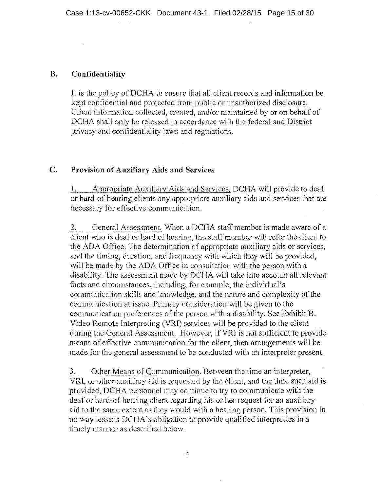## **B. Confidentiality**

It is the policy of DCHA to ensure that all client records and information be kept confidential and protected from public or unauthorized disclosure. Client information collected, created, and/or maintained by or on behalf of DCHA shall only be released in accordance with the federal and District privacy and confidentiality laws and regulations.

## **C. Provision of Auxiliary Aids and Services**

1. Appropriate Auxiliary Aids and Services. DCHA will provide to deaf or hard-of-hearing clients any appropriate auxiliary aids and services that are necessary for effective communication.

2. General Assessment, When a DCHA staff member is made aware of a client who is deaf or hard of hearing, the staff member will refer the client to the ADA Office. The determination of appropriate auxiliary aids or services, and the timing, duration, and frequency with which they will be provided, will be made by the ADA Office in consultation with the person with a disability. The assessment made by DCIIA will take into account all relevant facts and circumstances, including, for example, the individual's communication skills and knowledge, and the nature and complexity of the communication at issue. Primary consideration will be given to the communication preferences of the person with a disability. See Exhibit B. Video Remote Interpreting (VRI) services will be provided to the client during the General Assessment. However, ifVRI is not sufficient to provide means of effective communication for the client, then arrangements will be made for the general assessment to be conducted with an interpreter present.

3. Other Means of Communication. Between the time an interpreter, VRI, or other auxiliary aid is requested by the client, and the time such aid is provided, DCHA personnel may continue to try to communicate with the deaf or hard-of-hearing client regarding his or her request for an auxiliary aid to the same extent as they would with a hearing person. This provision in no way lessens DCHA's obligation to provide qualified interpreters in a timely manner as described below.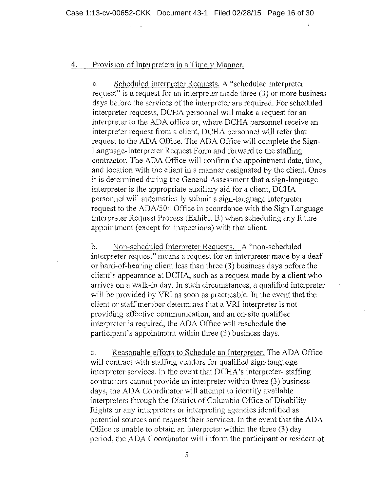## 4. Provision of Interpreters in a Timely Manner.

a. Scheduled Interpreter Requests. A "scheduled interpreter request" is a request for an interpreter made three (3) or more business days before the services of the interpreter are required. For scheduled interpreter requests, DCHA personnel will make a request for an interpreter to the ADA office or, where DCHA personnel receive an interpreter request from a client, DCHA personnel will refer that request to the ADA Office. The ADA Office will complete the Sign-Language-Interpreter Request Form and forward to the staffing contractor. The ADA Office will confirm the appointment date, time, and location with the client in a manner designated by the client. Once it is determined during the General Assessment that a sign-language interpreter is the appropriate auxiliary aid for a client, DCHA personnel will automatically submit a sign-language interpreter request to the ADA/504 Office in accordance with the Sign Language Interpreter Request Process (Exhibit B) when scheduling any future appointment (except for inspections) with that client.

b. Non-scheduled Interpreter Requests. A "non-scheduled" interpreter request" means a request for an interpreter made by a deaf or bard-of-hearing client less than three (3) business days before the client's appearance at DCIIA, such as a request made by a client who arrives on a walk-in day. ln such circumstances, a qualified interpreter will be provided by VRI as soon as practicable. In the event that the client or staff member determines that a VRI interpreter is not providing effective communication, and an on-site qualified interpreter is required, the ADA Office will reschedule the participant's appointment within three (3) business days.

c. Reasonable efforts to Schedule an Interpreter. The ADA Office will contract with staffing vendors for qualified sign-language interpreter services. In the event that DCHA's interpreter- staffing contractors cannot provide an interpreter within three (3) business days, the ADA Coordinator will attempt to identify available interpreters through the District of Columbia Office of Disability Rights or any interpreters or interpreting agencies identified as potential sources and request their services. In the event that the ADA Office is unable to obtain an interpreter within the three (3) day period, the ADA Coordinator will inform the participant or resident of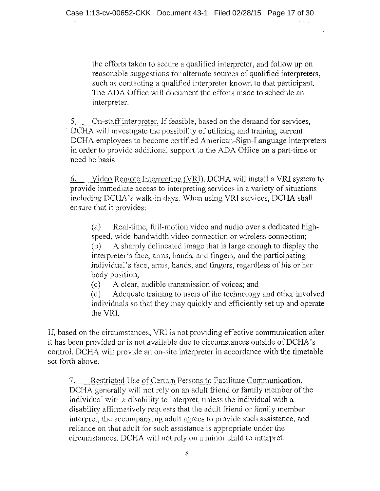the efforts taken to secure a qualified interpreter, and follow up on reasonable suggestions for alternate sources of qualified interpreters, such as contacting a qualified interpreter known to that participant. The ADA Office will document the efforts made to schedule an interpreter.

5. On-staff interpreter. If feasible, based on the demand for services, DCHA will investigate the possibility of utilizing and training current DCHA employees to become certified American-Sign-Language interpreters in order to provide additional support to the ADA Office on a part-time or need be basis,

6. Video Remote Interpreting (VRI). DCHA will install a VRI system to provide immediate access to interpreting services in a variety of situations including DCHA 's walk-in days. When using VRl services, DCHA shall ensure that it provides:

(a) Real-time, full-motion video and audio over a dedicated highspeed, wide-bandwidth video connection or wireless connection; (b) A sharply delineated image that is large enough to display the interpreter's face, arms, hands, and fingers, and the participating individual's face, arms, hands, and fingers, regardless of his or her body position;

( c) A clear, audible transmission of voices; and

(d) Adequate training to users of the technology and other involved individuals so that they may quickly and efficiently set up and operate the VRI.

If, based on the circumstances, VRl is not providing effective communication after it has been provided or is not available due to circumstances outside of DCHA's control, DCHA will provide an on-site interpreter in accordance with the timetable set forth above.

7. Restricted Use of Certain Persons to Facilitate Communication. DCHA generally will not rely on an adult friend or family member of the individual with a disability to interpret, unless the individual with a disability affirmatively requests that the adult friend or family member interpret, the accompanying adult agrees to provide such assistance, and reliance on that adult for such assistance is appropriate under the circumstances, DCHA will not rely on a minor child to interpret.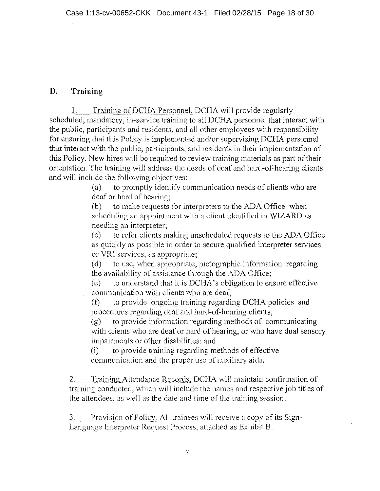# **D. Training**

1. Training ofDCHA Personnel. DCHA will provide regularly scheduled, mandatory, in-service training to all DCHA personnel that interact with the public, participants and residents, and all other employees with responsibility for ensuring that this Policy is implemented and/or supervising DCHA personnel that interact with the public, participants, and residents in their implementation of this Policy. New hires will be required to review training materials as part of their orientation. The training will address the needs of deaf and hard-of-hearing clients and will include the following objectives:

(a) to promptly identify communication needs of clients who are deaf or hard of hearing;

(b) to make requests for interpreters to the ADA Office when scheduling an appointment with a client identified in WIZARD as needing an interpreter;

( c) to refer clients making unscheduled requests to the ADA Office as quickly as possible in order to secure qualified interpreter services or VRI services, as appropriate;

(d) to use, when appropriate, pictographic information regarding the availability of assistance through the ADA Office;

(e) to understand that it is DCHA's obligation to ensure effective communication with clients who are deaf;

(i) to provide ongoing training regarding DCHA policies and procedures regarding deaf and hard-of-hearing clients;

(g) to provide information regarding methods of communicating with clients who are deaf or hard of hearing, or who have dual sensory impairments or other disabilities; and

(i) to provide training regarding methods of effective communication and the proper use of auxiliary aids.

2. Training Attendance Records. DCHA will maintain confirmation of training conducted, which will include the names and respective joh titles of the attendees, as well as the date and time of the training session.

Provision of Policy. All trainees will receive a copy of its Sign-Language Interpreter Request Process, attached as Exhibit B.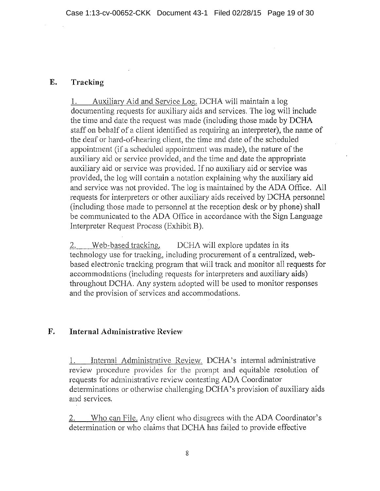# **E. Tracking**

1. Auxiliary Aid and Service Log. DCHA will maintain a log documenting requests for auxiliary aids and services. The log will include the time and date the request was made (including those made by DCHA staff on behalf of a client identified as requiring an interpreter), the name of the deaf or hard-of-hearing client, the time and date of the scheduled appointment (if a scheduled appointment was made), the nature of the auxiliary aid or service provided, and the time and date the appropriate auxiliary aid or service was provided. If no auxiliary aid or service was provided, the log will contain a notation explaining why the auxiliary aid and service was not provided. The log is maintained by the ADA Office. All requests for interpreters or other auxiliary aids received by DCHA personnel (including those made to personnel at the reception desk or by phone) shall be communicated to the ADA Office in accordance with the Sign Language Interpreter Request Process (Exhibit B).

2. Web-based tracking. DCHA will explore updates in its technology use for tracking, including procurement of a centralized, webbased electronic tracking program that will track and monitor all requests for accommodations (including requests for interpreters and auxiliary aids) throughout DCHA. Any system adopted will be used to monitor responses and the provision of services and accommodations.

# **F. Internal Administrative Review**

1. Internal Administrative Review. DCHA's internal administrative review procedure provides for the prompt and equitable resolution of requests for administrative review contesting ADA Coordinator determinations or otherwise challenging OCHA 's provision of auxiliary aids and services.

Who can File. Any client who disagrees with the ADA Coordinator's determination or who claims that DCHA has failed to provide effective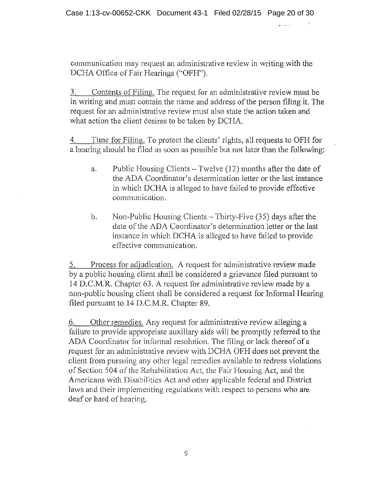communication may request an administrative review in writing with the DCHA Office of Fair Hearings ("OFH").

3. Contents of Filing. The request for an administrative review must be in writing and must contain the name and address of the person filing it. The request for an administrative review must also state the action taken and what action the client desires to be taken by DCHA.

4. Time for Filing. To protect the clients' rights, all requests to OFH for a hearing should be filed as soon as possible but not later than the following:

- a. Public Housing Clients Twelve (12) months after the date of the ADA Coordinator's determination letter or the last instance in which DCHA is alleged to have failed to provide effective communication.
- b. Non-Public Housing Clients  $-$  Thirty-Five (35) days after the date of the ADA Coordinator's determination letter or the last instance in which OCHA is alleged to have failed to provide effective communication.

5. Process for adjudication. A request for administrative review made by a public housing client shall be considered a grievance filed pursuant to 14 D.C.M.R. Chapter 63. A request for administrative review made by a non-public housing client shall be considered a request for Informal Hearing filed pursuant to 14 D.C.M.R. Chapter 89.

6. Other remedies. Any request for administrative review alleging a failure to provide appropriate auxiliary aids will be promptly referred to the ADA Coordinator for informal resolution. The filing or lack thereof of a request for an administrative review with DCHA OFH does not prevent the client from pursuing any other legal remedies available to redress violations of Section 504 of the Rehabilitation Act, the Fair Housing Act, and the Americans with Disabilities Act and other applicable federal and District laws and their implementing regulations with respect to persons who are deaf or hard of hearing.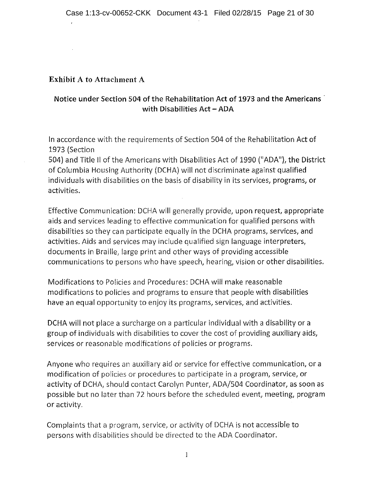## Exhibit A to Attachment A

# Notice under Section 504 of the Rehabilitation Act of 1973 and the Americans · with Disabilities Act - ADA

In accordance with the requirements of Section 504 of the Rehabilitation Act of 1973 (Section

504) and Title II of the Americans with Disabilities Act of 1990 ("ADA"), the District of Columbia Housing Authority (DCHA) will not discriminate against qualified individuals with disabilities on the basis of disability in its services, programs, or activities.

Effective Communication: DCHA will generally provide, upon request, appropriate aids and services leading to effective communication for qualified persons with disabilities so they can participate equally in the DCHA programs, services, and activities. Aids and services may include qualified sign language interpreters, documents in Braille, large print and other ways of providing accessible communications to persons who have speech, hearing, vision or other disabilities.

Modifications to Policies and Procedures: DCHA will make reasonable modifications to policies and programs to ensure that people with disabilities have an equal opportunity to enjoy its programs, services, and activities.

DCHA will not place a surcharge on a particular individual with a disability or a group of individuals with disabilities to cover the cost of providing auxiliary aids, services or reasonable modifications of policies or programs.

Anyone who requires an auxiliary aid or service for effective communication, or a modification of policies or procedures to participate in a program, service, or activity of DCHA, should contact Carolyn Punter, ADA/504 Coordinator, as soon as possible but no later than 72 hours before the scheduled event, meeting, program or activity.

Complaints that a program, service, or activity of DCHA is not accessible to persons with disabilities should be directed to the ADA Coordinator.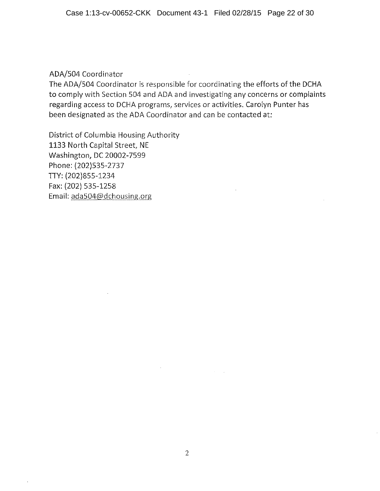## ADA/504 Coordinator

 $\bar{\lambda}$ 

The ADA/504 Coordinator is responsible for coordinating the efforts of the DCHA to comply with Section 504 and ADA and investigating any concerns or complaints regarding access to DCHA programs, services or activities. Carolyn Punter has been designated as the ADA Coordinator and can be contacted at:

District of Columbia Housing Authority 1133 North Capital Street, NE Washington, DC 20002-7599 Phone: (202)535-2737 TIY: (202)855-1234 Fax: (202} 535-1258 Email: ada504@dchousing.org

 $\mathcal{H}^{\pm}$  and  $\mathcal{L}^{\pm}$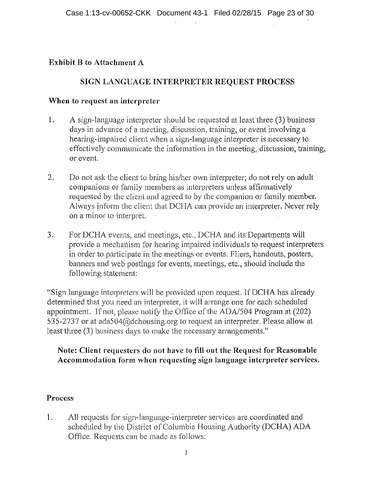**Contract Contract** 

## **Exhibit B to Attachment A**

# **SIGN LANGUAGE INTERPRETER REQUEST PROCESS**

## **When to request an interpreter**

- 1. A sign-language interpreter should be requested at least three (3) business days in advance of a meeting, discussion, training, or event involving a hearing-impaired client when a sign-language interpreter is necessary to effectively communicate the information in the meeting, discussion, training, or event.
- 2. Do not ask the client to bring his/her own interpreter; do not rely on adult companions or family members as interpreters unless affirmatively requested by the client and agreed to by the companion or family member. Always inform the client that DCHA can provide an interpreter. Never rely on a minor to interpret.
- 3. For DCHA events, and meetings, etc., DCHA and its Departments will provide a mechanism for hearing impaired individuals to request interpreters in order to participate in the meetings or events. Fliers, handouts, posters, banners and web postings for events, meetings, etc., should include the following statement:

"Sign language interpreters will he provided upon request. If DCHA has already determined that you need an interpreter, it will arrange one for each scheduled appointment. If not, please notify the Office of the ADA/504 Program at  $(202)$ 535-2737 or at ada504@dchousing.org to request an interpreter. Please allow at least three (3) business days to make the necessary arrangements."

## **Note: Client requesters do not have to fill out the Request for Reasonable Accommodation form when requesting sign language interpreter services.**

## **Process**

I. All requests for sign-language-interpreter services are coordinated and scheduled by the District of Columbia Housing Authority (DCHA) ADA Office. Requests can be made as follows: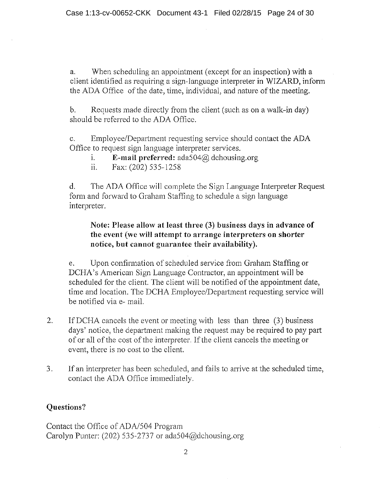a. When scheduling an appointment (except for an inspection) with a client identified as requiring a sign-language interpreter in WIZARD, inform the ADA Office of the date, time, individual, and nature of the meeting.

b. Requests made directly from the client (such as on a walk-in day) should be referred to the ADA Office.

e. Employee/Department requesting service should contact the ADA Office to request sign language interpreter services.

- i. **E-mail preferred:**  $\text{ada504}(\hat{\omega})$  dchousing.org
- ii. Fax:  $(202)$  535-1258

d. The ADA Office will complete the Sign Language Interpreter Request form and forward to Graham Staffing to schedule a sign language interpreter.

# **Note: Please allow at least three (3) business days in advance of the event (we will attempt to arrange interpreters on shorter notice, but cannot guarantee their availability).**

e. Upon confirmation of scheduled service from Graham Staffing or DCHA's American Sign Language Contractor, an appointment will be scheduled for the client. The client will be notified of the appointment date, time and location. The DCHA Employee/Department requesting service will be notified via e- mail.

- 2. IfDCHA cancels the event or meeting with less than three (3) business days' notice, the department making the request may be required to pay patt of or all of the cost of the interpreter. If the client cancels the meeting or event, there is no cost to the client.
- 3. If an interpreter has been scheduled, and fails to arrive at the scheduled time, contact the ADA Office immediately.

# **Questions?**

Contact the Office of ADA/504 Program Carolyn Punter: (202) 535-2737 or ada504@dchousing.org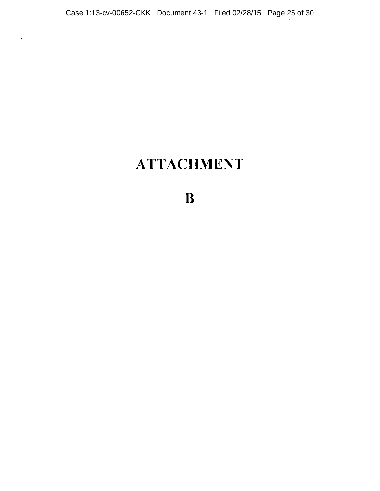$\hat{\mathbf{r}}$ 

# **ATTACHMENT**

B

 $\mathcal{L}^{\text{max}}_{\text{max}}$  and  $\mathcal{L}^{\text{max}}_{\text{max}}$ 

 $\sim 10^{-11}$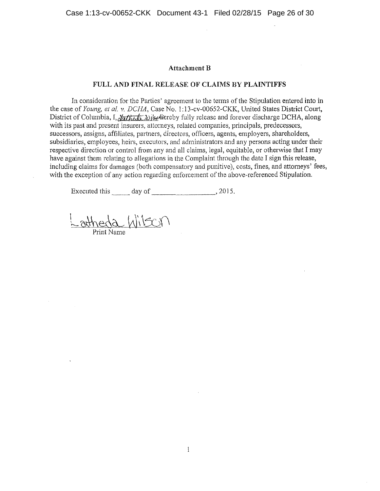## **Attachment B**

#### FULL AND FINAL RELEASE OF CLAIMS BY PLAINTIFFS

In consideration for the Parties' agreement to the terms of the Stipulation entered into in the case of *Young, et al. v. DCHA,* Case No. l: l 3-cv-00652-CKK, United States District Court, District of Columbia, I,  $\frac{1}{2}$   $\frac{1}{2}$   $\frac{1}{2}$   $\frac{1}{2}$   $\frac{1}{2}$   $\frac{1}{2}$  along forever discharge DCHA, along with its past and present insurers, atlorneys, related companies, principals, predecessors, successors, assigns, affiliates, partners, directors, officers, agents, employers, shareholders, subsidiaries, employees, heirs, executors, and administrators and any persons acting under their respective direction or control from any and all claims, legal, equitable, or otherwise that I may have against them relating to allegations in the Complaint through the date I sign this release, including claims for damages (both compensatory and punitive), costs, fines, and attorneys' fees, with the exception of any action regarding enforcement of the above-referenced Stipulation.

Executed this  $\frac{day \text{ of }$  2015.

 $N$ 

Print Name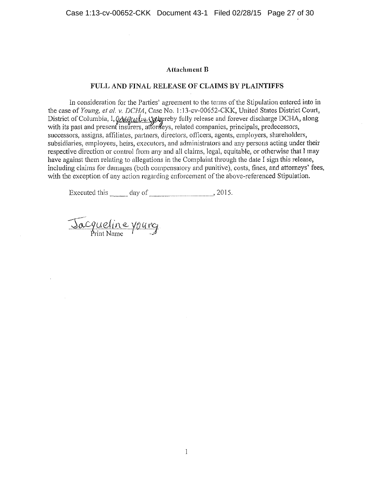#### **Attachment ll**

#### FULL AND FINAL RELEASE OF CLAIMS BY PLAINTIFFS

Jn consideration for the Parties' agreement to the terms of the Stipulation entered into in the case of *Young, et al. v. DCHA*, Case No. 1:13-cv-00652-CKK, United States District Court, District of Columbia, 1, QA&Q, . U. U. U. U. U. The by fully release and forever discharge DCHA, along with its past and present insurers, attorileys, related companies, principals, predecessors, successors, assigns, affiliates, partners, directors, officers, agents, employers, shareholders, subsidiaries, employees, heirs, executors, and administrators and any persons acting under their respective direction or control from any and all claims, legal, equitable, or otherwise that I may have against them relating to allegations in the Complaint through the date I sign this release, including claims for damages (both compensatory and punitive), costs, fines, and attorneys' fees, with the exception of any action regarding enforcement of the above-referenced Stipulation.

Executed this  $\frac{day \text{ of } 2015.$ 

Jacqueline yourg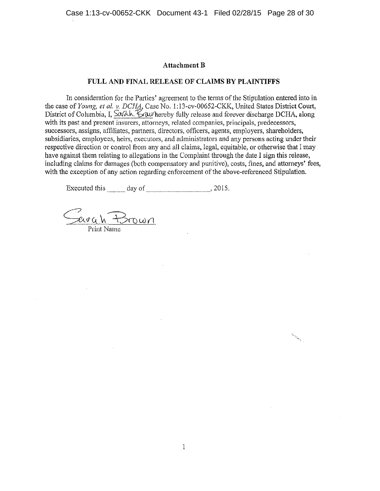## **Attachment B**

### **FULL AND FINAL RELEASE OF CLAIMS BY PLAINTIFFS**

In consideration for the Parties' agreement to the terms of the Stipulation entered into in the case of *Young, et al. v. DCHA*, Case No. 1:13-cv-00652-CKK, United States District Court, District of Columbia, I. Solah.  $\&$  whereby fully release and forever discharge DCHA, along with its past and present insurers, attorneys, related companies, principals, predecessors, successors, assigns, affiliates, partners, directors, officers, agents, employers, shareholders, subsidiaries, employees, heirs, executors, and administrators and any persons acting under their respective direction or control from any and all claims, legal, equitable, or otherwise that I may have against them relating to allegations in the Complaint through the date I sign this release, including claims for damages (both compensatory and punitive), costs, fines, and attorneys' fees, with the exception of any action regarding enforcement of the above-referenced Stipulation.

Executed this day of 2015.

Savah Brown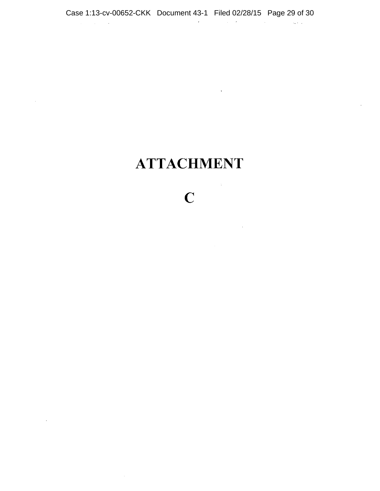# **ATTACHMENT**

 $\mathcal{L}$ 

 $\hat{\mathcal{A}}$ 

 $\bar{z}$ 

 $\sim 10^{-10}$ 

# c

 $\mathcal{L}^{\text{max}}_{\text{max}}$  and  $\mathcal{L}^{\text{max}}_{\text{max}}$